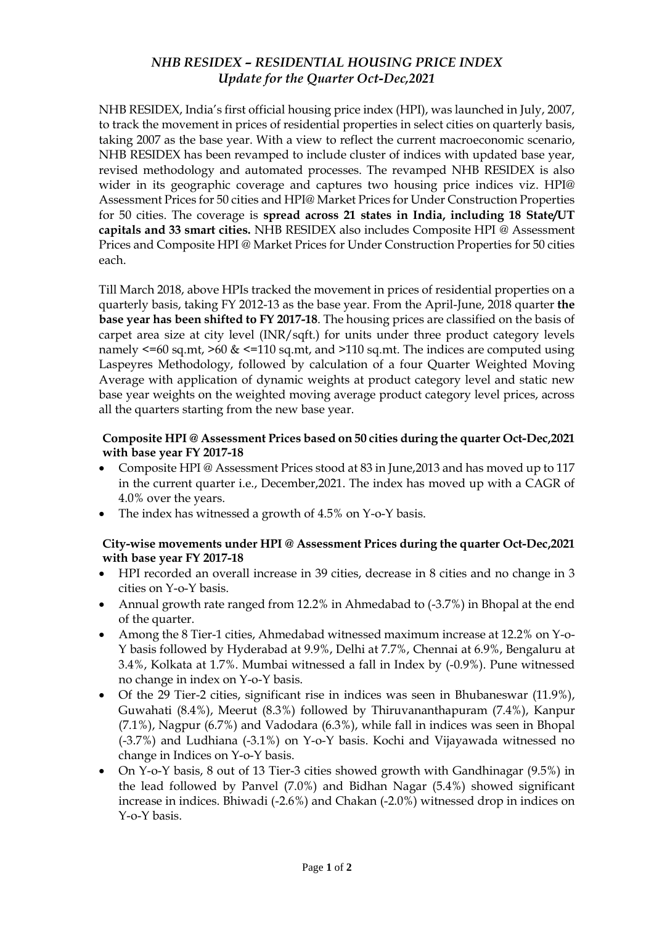## *NHB RESIDEX – RESIDENTIAL HOUSING PRICE INDEX Update for the Quarter Oct-Dec,2021*

NHB RESIDEX, India's first official housing price index (HPI), was launched in July, 2007, to track the movement in prices of residential properties in select cities on quarterly basis, taking 2007 as the base year. With a view to reflect the current macroeconomic scenario, NHB RESIDEX has been revamped to include cluster of indices with updated base year, revised methodology and automated processes. The revamped NHB RESIDEX is also wider in its geographic coverage and captures two housing price indices viz. HPI@ Assessment Prices for 50 cities and HPI@ Market Prices for Under Construction Properties for 50 cities. The coverage is **spread across 21 states in India, including 18 State/UT capitals and 33 smart cities.** NHB RESIDEX also includes Composite HPI @ Assessment Prices and Composite HPI @ Market Prices for Under Construction Properties for 50 cities each.

Till March 2018, above HPIs tracked the movement in prices of residential properties on a quarterly basis, taking FY 2012-13 as the base year. From the April-June, 2018 quarter **the base year has been shifted to FY 2017-18**. The housing prices are classified on the basis of carpet area size at city level (INR/sqft.) for units under three product category levels namely  $\leq$ =60 sq.mt,  $\geq$ 60 &  $\leq$ =110 sq.mt, and  $\geq$ 110 sq.mt. The indices are computed using Laspeyres Methodology, followed by calculation of a four Quarter Weighted Moving Average with application of dynamic weights at product category level and static new base year weights on the weighted moving average product category level prices, across all the quarters starting from the new base year.

## **Composite HPI @ Assessment Prices based on 50 cities during the quarter Oct-Dec,2021 with base year FY 2017-18**

- Composite HPI @ Assessment Prices stood at 83 in June,2013 and has moved up to 117 in the current quarter i.e., December,2021. The index has moved up with a CAGR of 4.0% over the years.
- The index has witnessed a growth of 4.5% on Y-o-Y basis.

## **City-wise movements under HPI @ Assessment Prices during the quarter Oct-Dec,2021 with base year FY 2017-18**

- HPI recorded an overall increase in 39 cities, decrease in 8 cities and no change in 3 cities on Y-o-Y basis.
- Annual growth rate ranged from 12.2% in Ahmedabad to (-3.7%) in Bhopal at the end of the quarter.
- Among the 8 Tier-1 cities, Ahmedabad witnessed maximum increase at 12.2% on Y-o-Y basis followed by Hyderabad at 9.9%, Delhi at 7.7%, Chennai at 6.9%, Bengaluru at 3.4%, Kolkata at 1.7%. Mumbai witnessed a fall in Index by (-0.9%). Pune witnessed no change in index on Y-o-Y basis.
- Of the 29 Tier-2 cities, significant rise in indices was seen in Bhubaneswar (11.9%), Guwahati (8.4%), Meerut (8.3%) followed by Thiruvananthapuram (7.4%), Kanpur (7.1%), Nagpur (6.7%) and Vadodara (6.3%), while fall in indices was seen in Bhopal (-3.7%) and Ludhiana (-3.1%) on Y-o-Y basis. Kochi and Vijayawada witnessed no change in Indices on Y-o-Y basis.
- On Y-o-Y basis, 8 out of 13 Tier-3 cities showed growth with Gandhinagar (9.5%) in the lead followed by Panvel (7.0%) and Bidhan Nagar (5.4%) showed significant increase in indices. Bhiwadi (-2.6%) and Chakan (-2.0%) witnessed drop in indices on Y-o-Y basis.